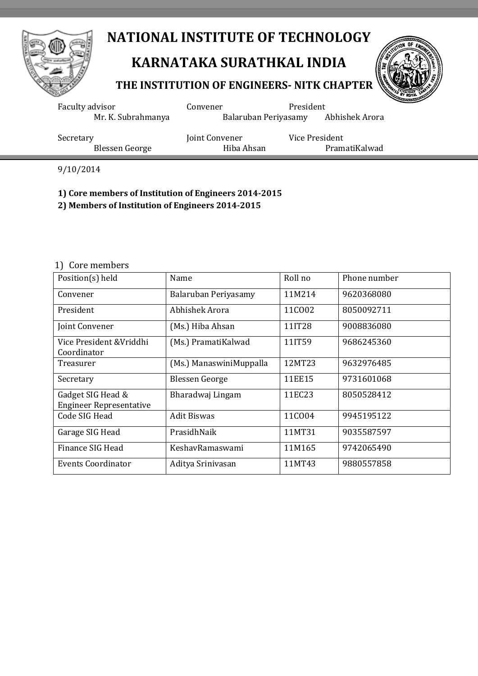

## **KARNATAKA SURATHKAL INDIA**

#### **THE INSTITUTION OF ENGINEERS- NITK CHAPTER**



| Faculty advisor    | Convener             | President      |
|--------------------|----------------------|----------------|
| Mr. K. Subrahmanya | Balaruban Periyasamy | Abhishek Arora |
| Secretary          | Joint Convener       | Vice President |
| Blessen George     | Hiba Ahsan           | PramatiKalwad  |

9/10/2014

#### **1) Core members of Institution of Engineers 2014-2015**

**2) Members of Institution of Engineers 2014-2015**

#### 1) Core members

| Position(s) held                                    | Name                    | Roll no | Phone number |
|-----------------------------------------------------|-------------------------|---------|--------------|
| Convener                                            | Balaruban Periyasamy    | 11M214  | 9620368080   |
| President                                           | Abhishek Arora          | 11C002  | 8050092711   |
| Joint Convener                                      | (Ms.) Hiba Ahsan        | 11IT28  | 9008836080   |
| Vice President & Vriddhi<br>Coordinator             | (Ms.) PramatiKalwad     | 11IT59  | 9686245360   |
| Treasurer                                           | (Ms.) ManaswiniMuppalla | 12MT23  | 9632976485   |
| Secretary                                           | <b>Blessen George</b>   | 11EE15  | 9731601068   |
| Gadget SIG Head &<br><b>Engineer Representative</b> | Bharadwaj Lingam        | 11EC23  | 8050528412   |
| Code SIG Head                                       | <b>Adit Biswas</b>      | 11C004  | 9945195122   |
| Garage SIG Head                                     | PrasidhNaik             | 11MT31  | 9035587597   |
| Finance SIG Head                                    | KeshavRamaswami         | 11M165  | 9742065490   |
| <b>Events Coordinator</b>                           | Aditya Srinivasan       | 11MT43  | 9880557858   |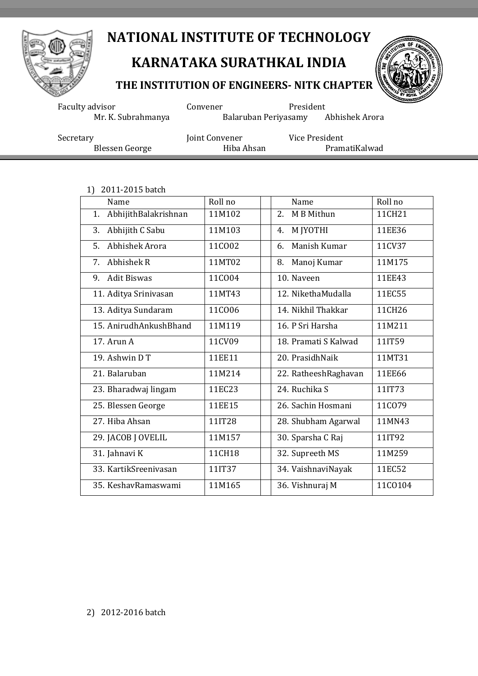

## **KARNATAKA SURATHKAL INDIA**

#### **THE INSTITUTION OF ENGINEERS- NITK CHAPTER**



Faculty advisor **Convener** President Mr. K. Subrahmanya Balaruban Periyasamy Abhishek Arora Secretary Joint Convener Vice President<br>Blessen George Hiba Ahsan PramatiKalwad Blessen George

1) 2011-2015 batch

| Name                       | Roll no | Name                 | Roll no |
|----------------------------|---------|----------------------|---------|
| AbhijithBalakrishnan<br>1. | 11M102  | 2.<br>M B Mithun     | 11CH21  |
| Abhijith C Sabu<br>3.      | 11M103  | M JYOTHI<br>4.       | 11EE36  |
| Abhishek Arora<br>5.       | 11CO02  | Manish Kumar<br>6.   | 11CV37  |
| Abhishek R<br>7.           | 11MT02  | Manoj Kumar<br>8.    | 11M175  |
| <b>Adit Biswas</b><br>9.   | 11C004  | 10. Naveen           | 11EE43  |
| 11. Aditya Srinivasan      | 11MT43  | 12. NikethaMudalla   | 11EC55  |
| 13. Aditya Sundaram        | 11C006  | 14. Nikhil Thakkar   | 11CH26  |
| 15. AnirudhAnkushBhand     | 11M119  | 16. P Sri Harsha     | 11M211  |
| 17. Arun A                 | 11CV09  | 18. Pramati S Kalwad | 11IT59  |
| 19. Ashwin DT              | 11EE11  | 20. PrasidhNaik      | 11MT31  |
| 21. Balaruban              | 11M214  | 22. RatheeshRaghavan | 11EE66  |
| 23. Bharadwaj lingam       | 11EC23  | 24. Ruchika S        | 11IT73  |
| 25. Blessen George         | 11EE15  | 26. Sachin Hosmani   | 11C079  |
| 27. Hiba Ahsan             | 11IT28  | 28. Shubham Agarwal  | 11MN43  |
| 29. JACOB J OVELIL         | 11M157  | 30. Sparsha C Raj    | 11IT92  |
| 31. Jahnavi K              | 11CH18  | 32. Supreeth MS      | 11M259  |
| 33. KartikSreenivasan      | 11IT37  | 34. VaishnaviNayak   | 11EC52  |
| 35. KeshavRamaswami        | 11M165  | 36. Vishnuraj M      | 11CO104 |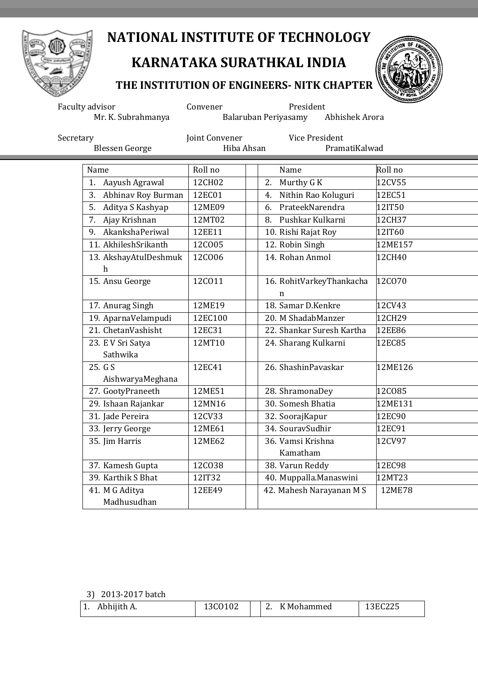

# **KARNATAKA SURATHKAL INDIA**

### **THE INSTITUTION OF ENGINEERS- NITK CHAPTER**



Faculty advisor **Convener** President Mr. K. Subrahmanya Balaruban Periyasamy Abhishek Arora Secretary **Secretary** Joint Convener **Vice President** 

| <b>Blessen George</b>                     | Hiba Ahsan | PramatiKalwad                 |               |
|-------------------------------------------|------------|-------------------------------|---------------|
| Name                                      | Roll no    | Name                          | Roll no       |
| Aayush Agrawal<br>1.                      | 12CH02     | Murthy G K<br>2.              | 12CV55        |
| 3.<br>Abhinav Roy Burman                  | 12EC01     | Nithin Rao Koluguri<br>4.     | 12EC51        |
| 5.<br>Aditya S Kashyap                    | 12ME09     | PrateekNarendra<br>6.         | 12IT50        |
| Ajay Krishnan<br>7.                       | 12MT02     | Pushkar Kulkarni<br>8.        | 12CH37        |
| AkankshaPeriwal<br>9.                     | 12EE11     | 10. Rishi Rajat Roy           | 12IT60        |
| 11. AkhileshSrikanth                      | 12CO05     | 12. Robin Singh               | 12ME157       |
| 13. AkshayAtulDeshmuk<br>h                | 12C006     | 14. Rohan Anmol               | 12CH40        |
| 15. Ansu George                           | 12C011     | 16. RohitVarkeyThankacha<br>n | 12CO70        |
| 17. Anurag Singh                          | 12ME19     | 18. Samar D.Kenkre            | 12CV43        |
| 19. AparnaVelampudi                       | 12EC100    | 20. M ShadabManzer            | 12CH29        |
| 21. ChetanVashisht                        | 12EC31     | 22. Shankar Suresh Kartha     | 12EE86        |
| 23. E V Sri Satya<br>Sathwika             | 12MT10     | 24. Sharang Kulkarni          | 12EC85        |
| $\overline{25}$ . G S<br>AishwaryaMeghana | 12EC41     | 26. ShashinPavaskar           | 12ME126       |
| 27. GootyPraneeth                         | 12ME51     | 28. ShramonaDey               | 12C085        |
| 29. Ishaan Rajankar                       | 12MN16     | 30. Somesh Bhatia             | 12ME131       |
| 31. Jade Pereira                          | 12CV33     | 32. SoorajKapur               | 12EC90        |
| 33. Jerry George                          | 12ME61     | 34. SouravSudhir              | 12EC91        |
| 35. Jim Harris                            | 12ME62     | 36. Vamsi Krishna<br>Kamatham | 12CV97        |
| 37. Kamesh Gupta                          | 12C038     | 38. Varun Reddy               | 12EC98        |
| 39. Karthik S Bhat                        | 12IT32     | 40. Muppalla.Manaswini        | 12MT23        |
| 41. M G Aditya                            | 12EE49     | 42. Mahesh Narayanan M S      | <b>12ME78</b> |
| Madhusudhan                               |            |                               |               |

3) 2013-2017 batch

| Abhijith A. | ΩZ | <sup>v</sup> Mohammed | $\sim$ $\sim$ $\sim$ |
|-------------|----|-----------------------|----------------------|
| . .         |    | <u>.</u>              | 13EC225              |